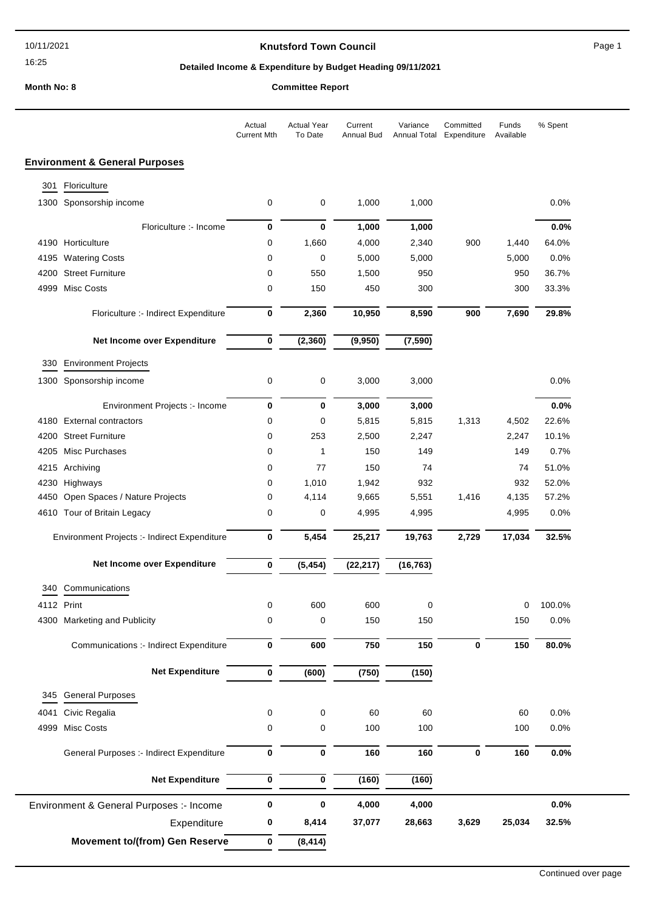16:25

## **Knutsford Town Council Example 20 and Secure 20 and Secure 20 and Page 1**

## **Detailed Income & Expenditure by Budget Heading 09/11/2021**

**Month No: 8** 

|                                              |                                           | Actual<br><b>Current Mth</b> | <b>Actual Year</b><br>To Date | Current<br><b>Annual Bud</b> | Variance<br>Annual Total | Committed<br>Expenditure | Funds<br>Available | % Spent |
|----------------------------------------------|-------------------------------------------|------------------------------|-------------------------------|------------------------------|--------------------------|--------------------------|--------------------|---------|
|                                              | <b>Environment &amp; General Purposes</b> |                              |                               |                              |                          |                          |                    |         |
| 301                                          | Floriculture                              |                              |                               |                              |                          |                          |                    |         |
|                                              | 1300 Sponsorship income                   | 0                            | 0                             | 1,000                        | 1,000                    |                          |                    | 0.0%    |
|                                              | Floriculture :- Income                    | 0                            | 0                             | 1,000                        | 1,000                    |                          |                    | 0.0%    |
|                                              | 4190 Horticulture                         | 0                            | 1,660                         | 4,000                        | 2,340                    | 900                      | 1,440              | 64.0%   |
| 4195                                         | <b>Watering Costs</b>                     | 0                            | 0                             | 5,000                        | 5,000                    |                          | 5,000              | 0.0%    |
| 4200                                         | <b>Street Furniture</b>                   | 0                            | 550                           | 1,500                        | 950                      |                          | 950                | 36.7%   |
| 4999                                         | Misc Costs                                | 0                            | 150                           | 450                          | 300                      |                          | 300                | 33.3%   |
|                                              | Floriculture :- Indirect Expenditure      | 0                            | 2,360                         | 10,950                       | 8,590                    | 900                      | 7,690              | 29.8%   |
|                                              | Net Income over Expenditure               | 0                            | (2, 360)                      | (9,950)                      | (7, 590)                 |                          |                    |         |
| 330                                          | <b>Environment Projects</b>               |                              |                               |                              |                          |                          |                    |         |
| 1300                                         | Sponsorship income                        | 0                            | 0                             | 3,000                        | 3,000                    |                          |                    | 0.0%    |
|                                              | Environment Projects :- Income            | 0                            | 0                             | 3,000                        | 3,000                    |                          |                    | 0.0%    |
| 4180                                         | <b>External contractors</b>               | 0                            | 0                             | 5,815                        | 5,815                    | 1,313                    | 4,502              | 22.6%   |
| 4200                                         | <b>Street Furniture</b>                   | 0                            | 253                           | 2,500                        | 2,247                    |                          | 2,247              | 10.1%   |
| 4205                                         | Misc Purchases                            | 0                            | 1                             | 150                          | 149                      |                          | 149                | 0.7%    |
| 4215                                         | Archiving                                 | 0                            | 77                            | 150                          | 74                       |                          | 74                 | 51.0%   |
| 4230                                         | Highways                                  | 0                            | 1,010                         | 1,942                        | 932                      |                          | 932                | 52.0%   |
| 4450                                         | Open Spaces / Nature Projects             | 0                            | 4,114                         | 9,665                        | 5,551                    | 1,416                    | 4,135              | 57.2%   |
|                                              | 4610 Tour of Britain Legacy               | 0                            | 0                             | 4,995                        | 4,995                    |                          | 4,995              | 0.0%    |
| Environment Projects :- Indirect Expenditure |                                           | 0                            | 5,454                         | 25,217                       | 19,763                   | 2,729                    | 17,034             | 32.5%   |
|                                              | Net Income over Expenditure               | 0                            | (5, 454)                      | (22, 217)                    | (16, 763)                |                          |                    |         |
|                                              | 340 Communications                        |                              |                               |                              |                          |                          |                    |         |
|                                              | 4112 Print                                | 0                            | 600                           | 600                          | 0                        |                          | 0                  | 100.0%  |
|                                              | 4300 Marketing and Publicity              | 0                            | 0                             | 150                          | 150                      |                          | 150                | 0.0%    |
|                                              | Communications :- Indirect Expenditure    | 0                            | 600                           | 750                          | 150                      | 0                        | 150                | 80.0%   |
|                                              | <b>Net Expenditure</b>                    | 0                            | (600)                         | (750)                        | (150)                    |                          |                    |         |
| 345                                          | <b>General Purposes</b>                   |                              |                               |                              |                          |                          |                    |         |
| 4041                                         | Civic Regalia                             | 0                            | 0                             | 60                           | 60                       |                          | 60                 | 0.0%    |
| 4999                                         | Misc Costs                                | 0                            | 0                             | 100                          | 100                      |                          | 100                | 0.0%    |
|                                              | General Purposes :- Indirect Expenditure  | $\bf{0}$                     | 0                             | 160                          | 160                      | 0                        | 160                | 0.0%    |
|                                              | <b>Net Expenditure</b>                    | 0                            | 0                             | (160)                        | (160)                    |                          |                    |         |
| Environment & General Purposes :- Income     |                                           | 0                            | $\bf{0}$                      | 4,000                        | 4,000                    |                          |                    | 0.0%    |
|                                              | Expenditure                               | 0                            | 8,414                         | 37,077                       | 28,663                   | 3,629                    | 25,034             | 32.5%   |
|                                              | <b>Movement to/(from) Gen Reserve</b>     | 0                            | (8, 414)                      |                              |                          |                          |                    |         |
|                                              |                                           |                              |                               |                              |                          |                          |                    |         |